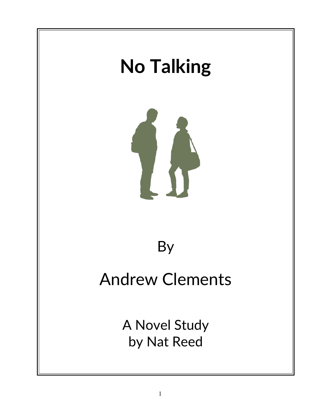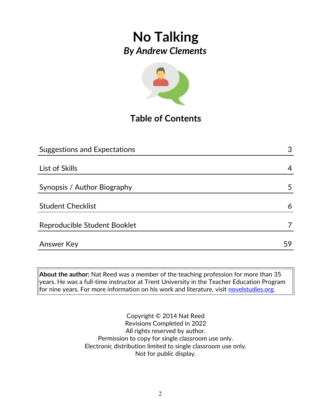

## **Table of Contents**

| <b>Suggestions and Expectations</b> | 3  |
|-------------------------------------|----|
|                                     |    |
| List of Skills                      | 4  |
|                                     |    |
| Synopsis / Author Biography         | 5  |
|                                     |    |
| <b>Student Checklist</b>            | 6  |
| Reproducible Student Booklet        |    |
| <b>Answer Key</b>                   | 59 |
|                                     |    |

**About the author:** Nat Reed was a member of the teaching profession for more than 35 years. He was a full-time instructor at Trent University in the Teacher Education Program for nine years. For more information on his work and literature, visit [novelstudies.org.](http://www.novelstudies.org/)

> Copyright © 2014 Nat Reed Revisions Completed in 2022 All rights reserved by author. Permission to copy for single classroom use only. Electronic distribution limited to single classroom use only. Not for public display.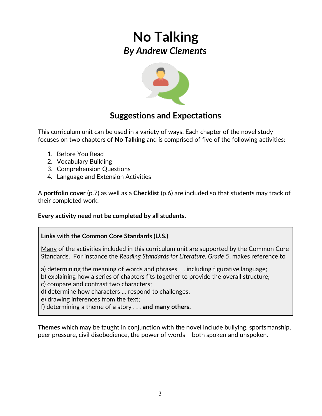

### **Suggestions and Expectations**

This curriculum unit can be used in a variety of ways. Each chapter of the novel study focuses on two chapters of **No Talking** and is comprised of five of the following activities:

- 1. Before You Read
- 2. Vocabulary Building
- 3. Comprehension Questions
- 4. Language and Extension Activities

A **portfolio cover** (p.7) as well as a **Checklist** (p.6) are included so that students may track of their completed work.

**Every activity need not be completed by all students.** 

#### **Links with the Common Core Standards (U.S.)**

Many of the activities included in this curriculum unit are supported by the Common Core Standards. For instance the *Reading Standards for Literature, Grade 5*, makes reference to

a) determining the meaning of words and phrases. . . including figurative language;

b) explaining how a series of chapters fits together to provide the overall structure;

c) compare and contrast two characters;

d) determine how characters … respond to challenges;

e) drawing inferences from the text;

f) determining a theme of a story . . . **and many others.**

**Themes** which may be taught in conjunction with the novel include bullying, sportsmanship, peer pressure, civil disobedience, the power of words – both spoken and unspoken.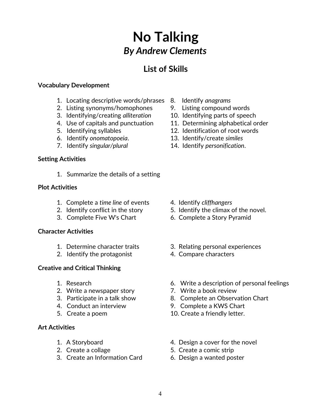### **List of Skills**

#### **Vocabulary Development**

- 1. Locating descriptive words/phrases 8. Identify *anagrams*
- 2. Listing synonyms/homophones 9. Listing compound words
- 3. Identifying/creating *alliteration* 10. Identifying parts of speech
- 
- 
- 6. Identify *onomatopoeia*. 13. Identify/create *similes*
- 

#### **Setting Activities**

1. Summarize the details of a setting

#### **Plot Activities**

- 1. Complete a *time line* of events 4. Identify *cliffhangers*
- 
- 3. Complete Five W's Chart 6. Complete a Story Pyramid

#### **Character Activities**

- 
- 2. Identify the protagonist 4. Compare characters

#### **Creative and Critical Thinking**

- 
- 2. Write a newspaper story **7. Write a book review**
- 
- 
- 

#### **Art Activities**

- 
- 
- 3. Create an Information Card 6. Design a wanted poster
- 
- 
- 
- 4. Use of capitals and punctuation 11. Determining alphabetical order
- 5. Identifying syllables 12. Identification of root words
	-
- 7. Identify *singular/plural* 14. Identify *personification*.

- 
- 2. Identify conflict in the story 5. Identify the climax of the novel.
	-
- 1. Determine character traits 3. Relating personal experiences
	-
- 1. Research 6. Write a description of personal feelings
	-
- 3. Participate in a talk show 8. Complete an Observation Chart
- 4. Conduct an interview 9. Complete a KWS Chart
- 5. Create a poem 10. Create a friendly letter.
- 1. A Storyboard **4. Design a cover for the novel**
- 2. Create a collage 5. Create a comic strip
	-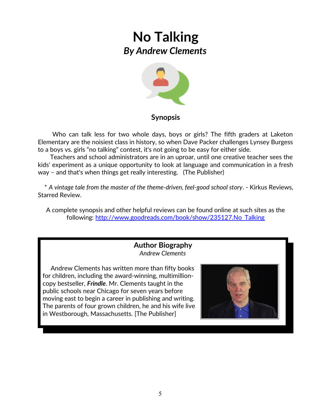

#### **Synopsis**

 Who can talk less for two whole days, boys or girls? The fifth graders at Laketon Elementary are the noisiest class in history, so when Dave Packer challenges Lynsey Burgess to a boys vs. girls "no talking" contest, it's not going to be easy for either side.

 Teachers and school administrators are in an uproar, until one creative teacher sees the kids' experiment as a unique opportunity to look at language and communication in a fresh way – and that's when things get really interesting. (The Publisher)

 \* *A vintage tale from the master of the theme-driven, feel-good school story*. - Kirkus Reviews, Starred Review.

A complete synopsis and other helpful reviews can be found online at such sites as the following: [http://www.goodreads.com/book/show/235127.No\\_Talking](http://www.goodreads.com/book/show/235127.No_Talking)

#### **Author Biography** *Andrew Clements*

 Andrew Clements has written more than fifty books for children, including the award-winning, multimillioncopy bestseller, *Frindle*. Mr. Clements taught in the public schools near Chicago for seven years before moving east to begin a career in publishing and writing. The parents of four grown children, he and his wife live in Westborough, Massachusetts. [The Publisher]

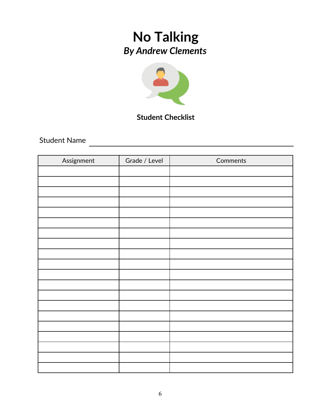

### **Student Checklist**

Student Name

| Assignment | Grade / Level | Comments |
|------------|---------------|----------|
|            |               |          |
|            |               |          |
|            |               |          |
|            |               |          |
|            |               |          |
|            |               |          |
|            |               |          |
|            |               |          |
|            |               |          |
|            |               |          |
|            |               |          |
|            |               |          |
|            |               |          |
|            |               |          |
|            |               |          |
|            |               |          |
|            |               |          |
|            |               |          |
|            |               |          |
|            |               |          |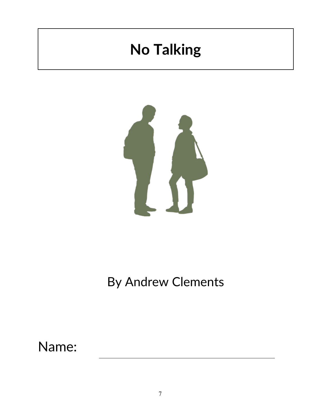# **No Talking**



## By Andrew Clements

Name: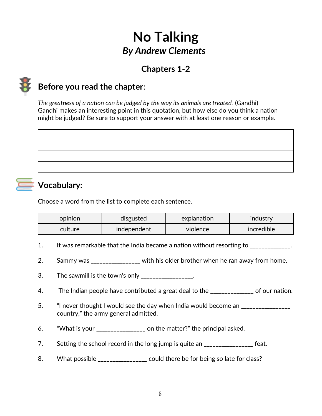## **Chapters 1-2**



### **Before you read the chapter**:

*The greatness of a nation can be judged by the way its animals are treated.* (Gandhi) Gandhi makes an interesting point in this quotation, but how else do you think a nation might be judged? Be sure to support your answer with at least one reason or example.

## **Vocabulary:**

Choose a word from the list to complete each sentence.

| opinion | disgusted   | explanation | <b>Industry</b> |
|---------|-------------|-------------|-----------------|
| culture | independent | violence    | incredible      |

- 1. It was remarkable that the India became a nation without resorting to \_\_\_\_\_\_\_\_\_\_\_\_.
- 2. Sammy was \_\_\_\_\_\_\_\_\_\_\_\_\_\_ with his older brother when he ran away from home.
- 3. The sawmill is the town's only  $\frac{1}{2}$   $\frac{1}{2}$   $\frac{1}{2}$   $\frac{1}{2}$   $\frac{1}{2}$   $\frac{1}{2}$   $\frac{1}{2}$   $\frac{1}{2}$   $\frac{1}{2}$   $\frac{1}{2}$   $\frac{1}{2}$   $\frac{1}{2}$   $\frac{1}{2}$   $\frac{1}{2}$   $\frac{1}{2}$   $\frac{1}{2}$   $\frac{1}{2}$   $\frac{1}{2}$   $\frac{1}{2$
- 4. The Indian people have contributed a great deal to the \_\_\_\_\_\_\_\_\_\_\_\_\_\_ of our nation.
- 5. "I never thought I would see the day when India would become an \_\_\_\_\_\_\_\_\_\_\_\_\_ country," the army general admitted.
- 6. "What is your \_\_\_\_\_\_\_\_\_\_\_\_\_\_\_\_\_ on the matter?" the principal asked.
- 7. Setting the school record in the long jump is quite an \_\_\_\_\_\_\_\_\_\_\_\_\_\_\_\_\_ feat.
- 8. What possible \_\_\_\_\_\_\_\_\_\_\_\_\_\_\_ could there be for being so late for class?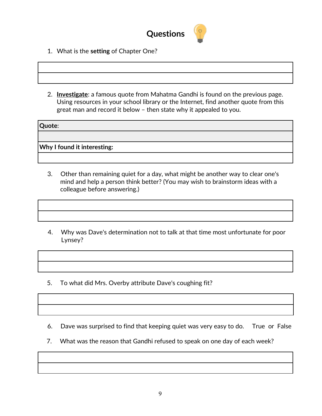

- 1. What is the **setting** of Chapter One?
- 2. **Investigate**: a famous quote from Mahatma Gandhi is found on the previous page. Using resources in your school library or the Internet, find another quote from this great man and record it below – then state why it appealed to you.

**Quote**:

**Why I found it interesting:**

- 3. Other than remaining quiet for a day, what might be another way to clear one's mind and help a person think better? (You may wish to brainstorm ideas with a colleague before answering.)
- 4. Why was Dave's determination not to talk at that time most unfortunate for poor Lynsey?
- 5. To what did Mrs. Overby attribute Dave's coughing fit?

6. Dave was surprised to find that keeping quiet was very easy to do. True or False

7. What was the reason that Gandhi refused to speak on one day of each week?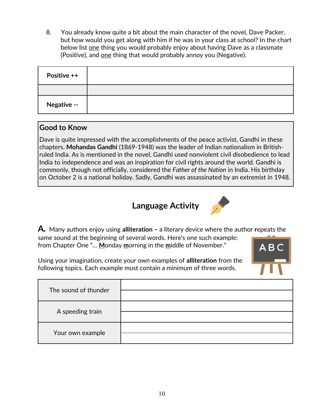8. You already know quite a bit about the main character of the novel, Dave Packer, but how would you get along with him if he was in your class at school? In the chart below list one thing you would probably enjoy about having Dave as a classmate (Positive), and one thing that would probably annoy you (Negative).

| Positive ++ |  |
|-------------|--|
|             |  |
| Negative -- |  |

### **Good to Know**

Dave is quite impressed with the accomplishments of the peace activist, Gandhi in these chapters. **Mohandas Gandhi** (1869-1948) was the leader of Indian nationalism in Britishruled India. As is mentioned in the novel, Gandhi used nonviolent civil disobedience to lead India to independence and was an inspiration for civil rights around the world. Gandhi is commonly, though not officially, considered the *Father of the Nation* in India. His birthday on October 2 is a national holiday. Sadly, Gandhi was assassinated by an extremist in 1948.

## **Language Activity**



**A***.* Many authors enjoy using **alliteration –** a literary device where the author **r**epeats the same sound at the beginning of several words. Here's one such example: from Chapter One "… **M**onday **m**orning in the **m**iddle of November."

**ABC** 

Using your imagination, create your own examples of **alliteration** from the following topics. Each example must contain a minimum of three words.

| The sound of thunder |  |
|----------------------|--|
| A speeding train     |  |
| Your own example     |  |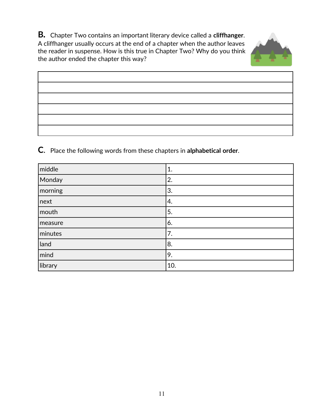**B***.*Chapter Two contains an important literary device called a **cliffhanger**. A cliffhanger usually occurs at the end of a chapter when the author leaves the reader in suspense. How is this true in Chapter Two? Why do you think the author ended the chapter this way?



**C**. Place the following words from these chapters in **alphabetical order**.

| middle  | 1.  |
|---------|-----|
| Monday  | 2.  |
| morning | 3.  |
| next    | 4.  |
| mouth   | 5.  |
| measure | 6.  |
| minutes | 7.  |
| land    | 8.  |
| mind    | 9.  |
| library | 10. |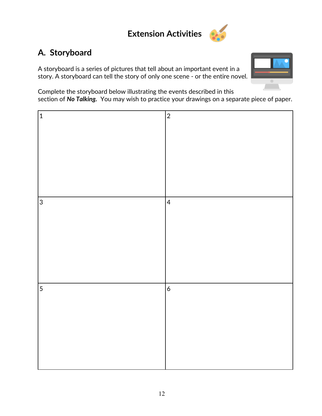## **Extension Activities**



## **A. Storyboard**

A storyboard is a series of pictures that tell about an important event in a story. A storyboard can tell the story of only one scene - or the entire novel.



Complete the storyboard below illustrating the events described in this section of *No Talking.* You may wish to practice your drawings on a separate piece of paper.